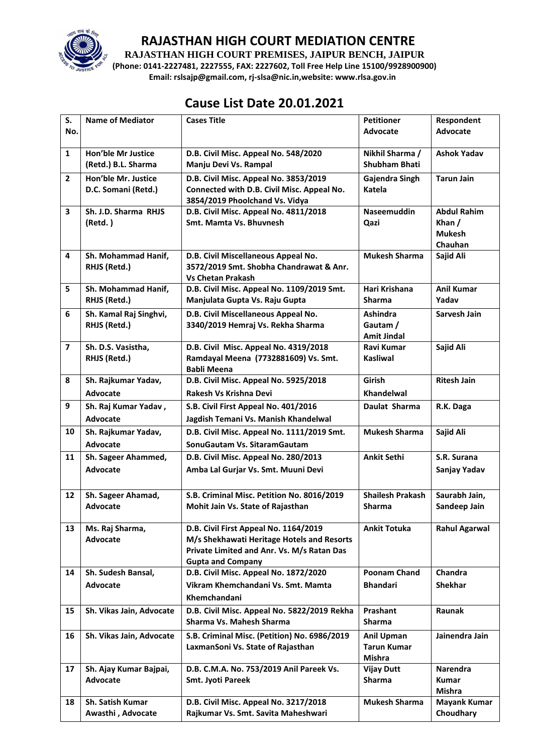

**RAJASTHAN HIGH COURT PREMISES, JAIPUR BENCH, JAIPUR**

**(Phone: 0141-2227481, 2227555, FAX: 2227602, Toll Free Help Line 15100/9928900900) Email: rslsajp@gmail.com, rj-slsa@nic.in,website: www.rlsa.gov.in**

## **Cause List Date 20.01.2021**

| S.                      | <b>Name of Mediator</b>                          | <b>Cases Title</b>                                                                                                                                            | <b>Petitioner</b>                                 | Respondent                                               |
|-------------------------|--------------------------------------------------|---------------------------------------------------------------------------------------------------------------------------------------------------------------|---------------------------------------------------|----------------------------------------------------------|
| No.                     |                                                  |                                                                                                                                                               | <b>Advocate</b>                                   | <b>Advocate</b>                                          |
| $\mathbf{1}$            | <b>Hon'ble Mr Justice</b><br>(Retd.) B.L. Sharma | D.B. Civil Misc. Appeal No. 548/2020<br>Manju Devi Vs. Rampal                                                                                                 | Nikhil Sharma /<br><b>Shubham Bhati</b>           | <b>Ashok Yadav</b>                                       |
| $\overline{2}$          | Hon'ble Mr. Justice<br>D.C. Somani (Retd.)       | D.B. Civil Misc. Appeal No. 3853/2019<br>Connected with D.B. Civil Misc. Appeal No.<br>3854/2019 Phoolchand Vs. Vidya                                         | Gajendra Singh<br><b>Katela</b>                   | <b>Tarun Jain</b>                                        |
| 3                       | Sh. J.D. Sharma RHJS<br>(Retd.)                  | D.B. Civil Misc. Appeal No. 4811/2018<br>Smt. Mamta Vs. Bhuvnesh                                                                                              | <b>Naseemuddin</b><br>Qazi                        | <b>Abdul Rahim</b><br>Khan /<br><b>Mukesh</b><br>Chauhan |
| $\overline{\mathbf{4}}$ | Sh. Mohammad Hanif,<br>RHJS (Retd.)              | D.B. Civil Miscellaneous Appeal No.<br>3572/2019 Smt. Shobha Chandrawat & Anr.<br><b>Vs Chetan Prakash</b>                                                    | <b>Mukesh Sharma</b>                              | Sajid Ali                                                |
| 5                       | Sh. Mohammad Hanif,<br>RHJS (Retd.)              | D.B. Civil Misc. Appeal No. 1109/2019 Smt.<br>Manjulata Gupta Vs. Raju Gupta                                                                                  | Hari Krishana<br><b>Sharma</b>                    | <b>Anil Kumar</b><br>Yadav                               |
| 6                       | Sh. Kamal Raj Singhvi,<br>RHJS (Retd.)           | D.B. Civil Miscellaneous Appeal No.<br>3340/2019 Hemraj Vs. Rekha Sharma                                                                                      | <b>Ashindra</b><br>Gautam /<br><b>Amit Jindal</b> | Sarvesh Jain                                             |
| $\overline{7}$          | Sh. D.S. Vasistha,<br>RHJS (Retd.)               | D.B. Civil Misc. Appeal No. 4319/2018<br>Ramdayal Meena (7732881609) Vs. Smt.<br><b>Babli Meena</b>                                                           | <b>Ravi Kumar</b><br><b>Kasliwal</b>              | Sajid Ali                                                |
| 8                       | Sh. Rajkumar Yadav,<br>Advocate                  | D.B. Civil Misc. Appeal No. 5925/2018<br>Rakesh Vs Krishna Devi                                                                                               | Girish<br><b>Khandelwal</b>                       | <b>Ritesh Jain</b>                                       |
| 9                       | Sh. Raj Kumar Yadav,<br>Advocate                 | S.B. Civil First Appeal No. 401/2016<br>Jagdish Temani Vs. Manish Khandelwal                                                                                  | Daulat Sharma                                     | R.K. Daga                                                |
| 10                      | Sh. Rajkumar Yadav,<br><b>Advocate</b>           | D.B. Civil Misc. Appeal No. 1111/2019 Smt.<br>SonuGautam Vs. SitaramGautam                                                                                    | <b>Mukesh Sharma</b>                              | Sajid Ali                                                |
| 11                      | Sh. Sageer Ahammed,<br>Advocate                  | D.B. Civil Misc. Appeal No. 280/2013<br>Amba Lal Gurjar Vs. Smt. Muuni Devi                                                                                   | <b>Ankit Sethi</b>                                | S.R. Surana<br>Sanjay Yadav                              |
| 12                      | Sh. Sageer Ahamad,<br>Advocate                   | S.B. Criminal Misc. Petition No. 8016/2019<br>Mohit Jain Vs. State of Rajasthan                                                                               | <b>Shailesh Prakash</b><br>Sharma                 | Saurabh Jain,<br>Sandeep Jain                            |
| 13                      | Ms. Raj Sharma,<br>Advocate                      | D.B. Civil First Appeal No. 1164/2019<br>M/s Shekhawati Heritage Hotels and Resorts<br>Private Limited and Anr. Vs. M/s Ratan Das<br><b>Gupta and Company</b> | <b>Ankit Totuka</b>                               | <b>Rahul Agarwal</b>                                     |
| 14                      | Sh. Sudesh Bansal,<br>Advocate                   | D.B. Civil Misc. Appeal No. 1872/2020<br>Vikram Khemchandani Vs. Smt. Mamta<br>Khemchandani                                                                   | Poonam Chand<br><b>Bhandari</b>                   | Chandra<br><b>Shekhar</b>                                |
| 15                      | Sh. Vikas Jain, Advocate                         | D.B. Civil Misc. Appeal No. 5822/2019 Rekha<br>Sharma Vs. Mahesh Sharma                                                                                       | Prashant<br><b>Sharma</b>                         | Raunak                                                   |
| 16                      | Sh. Vikas Jain, Advocate                         | S.B. Criminal Misc. (Petition) No. 6986/2019<br>LaxmanSoni Vs. State of Rajasthan                                                                             | Anil Upman<br><b>Tarun Kumar</b><br><b>Mishra</b> | Jainendra Jain                                           |
| 17                      | Sh. Ajay Kumar Bajpai,<br>Advocate               | D.B. C.M.A. No. 753/2019 Anil Pareek Vs.<br>Smt. Jyoti Pareek                                                                                                 | <b>Vijay Dutt</b><br>Sharma                       | Narendra<br><b>Kumar</b><br>Mishra                       |
| 18                      | <b>Sh. Satish Kumar</b><br>Awasthi, Advocate     | D.B. Civil Misc. Appeal No. 3217/2018<br>Rajkumar Vs. Smt. Savita Maheshwari                                                                                  | <b>Mukesh Sharma</b>                              | <b>Mayank Kumar</b><br>Choudhary                         |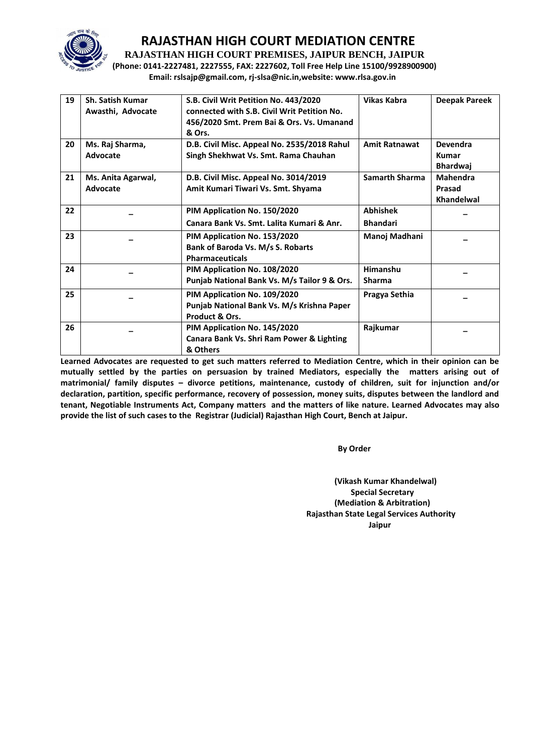

**RAJASTHAN HIGH COURT PREMISES, JAIPUR BENCH, JAIPUR**

**(Phone: 0141-2227481, 2227555, FAX: 2227602, Toll Free Help Line 15100/9928900900) Email: rslsajp@gmail.com, rj-slsa@nic.in,website: www.rlsa.gov.in**

| 19 | <b>Sh. Satish Kumar</b><br>Awasthi, Advocate | S.B. Civil Writ Petition No. 443/2020<br>connected with S.B. Civil Writ Petition No.<br>456/2020 Smt. Prem Bai & Ors. Vs. Umanand<br>& Ors. | <b>Vikas Kabra</b>                 | <b>Deepak Pareek</b>                               |
|----|----------------------------------------------|---------------------------------------------------------------------------------------------------------------------------------------------|------------------------------------|----------------------------------------------------|
| 20 | Ms. Raj Sharma,<br>Advocate                  | D.B. Civil Misc. Appeal No. 2535/2018 Rahul<br>Singh Shekhwat Vs. Smt. Rama Chauhan                                                         | <b>Amit Ratnawat</b>               | <b>Devendra</b><br><b>Kumar</b><br><b>Bhardwai</b> |
| 21 | Ms. Anita Agarwal,<br>Advocate               | D.B. Civil Misc. Appeal No. 3014/2019<br>Amit Kumari Tiwari Vs. Smt. Shyama                                                                 | <b>Samarth Sharma</b>              | <b>Mahendra</b><br>Prasad<br>Khandelwal            |
| 22 |                                              | PIM Application No. 150/2020<br>Canara Bank Vs. Smt. Lalita Kumari & Anr.                                                                   | <b>Abhishek</b><br><b>Bhandari</b> |                                                    |
| 23 |                                              | PIM Application No. 153/2020<br>Bank of Baroda Vs. M/s S. Robarts<br><b>Pharmaceuticals</b>                                                 | Manoj Madhani                      |                                                    |
| 24 |                                              | PIM Application No. 108/2020<br>Punjab National Bank Vs. M/s Tailor 9 & Ors.                                                                | Himanshu<br><b>Sharma</b>          |                                                    |
| 25 |                                              | PIM Application No. 109/2020<br>Punjab National Bank Vs. M/s Krishna Paper<br>Product & Ors.                                                | Pragya Sethia                      |                                                    |
| 26 |                                              | PIM Application No. 145/2020<br>Canara Bank Vs. Shri Ram Power & Lighting<br>& Others                                                       | Rajkumar                           |                                                    |

**Learned Advocates are requested to get such matters referred to Mediation Centre, which in their opinion can be mutually settled by the parties on persuasion by trained Mediators, especially the matters arising out of matrimonial/ family disputes – divorce petitions, maintenance, custody of children, suit for injunction and/or declaration, partition, specific performance, recovery of possession, money suits, disputes between the landlord and tenant, Negotiable Instruments Act, Company matters and the matters of like nature. Learned Advocates may also provide the list of such cases to the Registrar (Judicial) Rajasthan High Court, Bench at Jaipur.** 

 **By Order** 

**(Vikash Kumar Khandelwal) Special Secretary (Mediation & Arbitration) Rajasthan State Legal Services Authority Jaipur**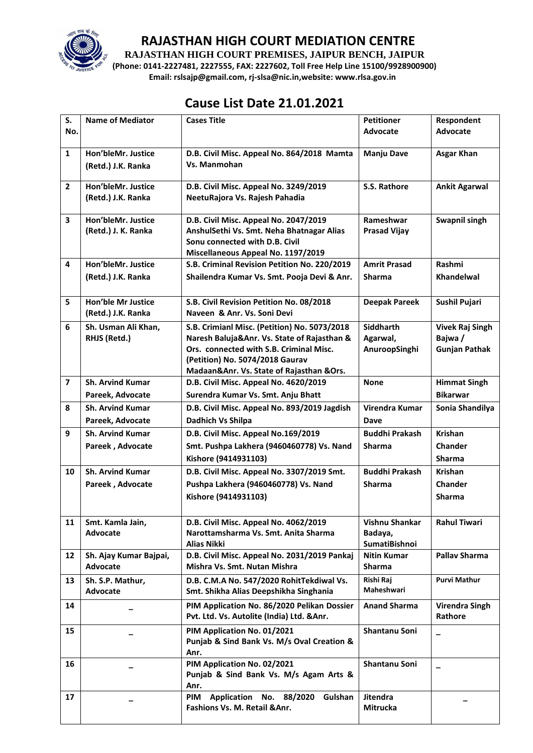

**RAJASTHAN HIGH COURT PREMISES, JAIPUR BENCH, JAIPUR**

**(Phone: 0141-2227481, 2227555, FAX: 2227602, Toll Free Help Line 15100/9928900900) Email: rslsajp@gmail.com, rj-slsa@nic.in,website: www.rlsa.gov.in**

# **Cause List Date 21.01.2021**

| S.             | <b>Name of Mediator</b>            | <b>Cases Title</b>                                                                        | <b>Petitioner</b>            | Respondent                       |
|----------------|------------------------------------|-------------------------------------------------------------------------------------------|------------------------------|----------------------------------|
| No.            |                                    |                                                                                           | Advocate                     | <b>Advocate</b>                  |
| $\mathbf{1}$   | Hon'bleMr. Justice                 | D.B. Civil Misc. Appeal No. 864/2018 Mamta                                                | <b>Manju Dave</b>            | <b>Asgar Khan</b>                |
|                | (Retd.) J.K. Ranka                 | Vs. Manmohan                                                                              |                              |                                  |
| $\overline{2}$ | Hon'bleMr. Justice                 | D.B. Civil Misc. Appeal No. 3249/2019                                                     | S.S. Rathore                 | <b>Ankit Agarwal</b>             |
|                | (Retd.) J.K. Ranka                 | NeetuRajora Vs. Rajesh Pahadia                                                            |                              |                                  |
| 3              | Hon'bleMr. Justice                 | D.B. Civil Misc. Appeal No. 2047/2019                                                     | Rameshwar                    | Swapnil singh                    |
|                | (Retd.) J. K. Ranka                | AnshulSethi Vs. Smt. Neha Bhatnagar Alias<br>Sonu connected with D.B. Civil               | <b>Prasad Vijay</b>          |                                  |
|                |                                    | Miscellaneous Appeal No. 1197/2019                                                        |                              |                                  |
| 4              | Hon'bleMr. Justice                 | S.B. Criminal Revision Petition No. 220/2019                                              | <b>Amrit Prasad</b>          | Rashmi                           |
|                | (Retd.) J.K. Ranka                 | Shailendra Kumar Vs. Smt. Pooja Devi & Anr.                                               | <b>Sharma</b>                | Khandelwal                       |
| 5              | <b>Hon'ble Mr Justice</b>          | S.B. Civil Revision Petition No. 08/2018                                                  | <b>Deepak Pareek</b>         | Sushil Pujari                    |
|                | (Retd.) J.K. Ranka                 | Naveen & Anr. Vs. Soni Devi                                                               |                              |                                  |
| 6              | Sh. Usman Ali Khan,                | S.B. Crimianl Misc. (Petition) No. 5073/2018                                              | <b>Siddharth</b>             | <b>Vivek Raj Singh</b>           |
|                | RHJS (Retd.)                       | Naresh Baluja&Anr. Vs. State of Rajasthan &<br>Ors. connected with S.B. Criminal Misc.    | Agarwal,<br>AnuroopSinghi    | Bajwa /<br><b>Gunjan Pathak</b>  |
|                |                                    | (Petition) No. 5074/2018 Gaurav                                                           |                              |                                  |
|                |                                    | Madaan&Anr. Vs. State of Rajasthan &Ors.                                                  |                              |                                  |
| $\overline{7}$ | <b>Sh. Arvind Kumar</b>            | D.B. Civil Misc. Appeal No. 4620/2019                                                     | <b>None</b>                  | <b>Himmat Singh</b>              |
|                | Pareek, Advocate                   | Surendra Kumar Vs. Smt. Anju Bhatt                                                        |                              | <b>Bikarwar</b>                  |
| 8              | <b>Sh. Arvind Kumar</b>            | D.B. Civil Misc. Appeal No. 893/2019 Jagdish                                              | Virendra Kumar               | Sonia Shandilya                  |
|                | Pareek, Advocate                   | Dadhich Vs Shilpa                                                                         | Dave                         |                                  |
| 9              | <b>Sh. Arvind Kumar</b>            | D.B. Civil Misc. Appeal No.169/2019                                                       | <b>Buddhi Prakash</b>        | <b>Krishan</b>                   |
|                | Pareek, Advocate                   | Smt. Pushpa Lakhera (9460460778) Vs. Nand                                                 | <b>Sharma</b>                | <b>Chander</b>                   |
|                |                                    | Kishore (9414931103)                                                                      |                              | <b>Sharma</b>                    |
| 10             | <b>Sh. Arvind Kumar</b>            | D.B. Civil Misc. Appeal No. 3307/2019 Smt.                                                | <b>Buddhi Prakash</b>        | <b>Krishan</b>                   |
|                | Pareek, Advocate                   | Pushpa Lakhera (9460460778) Vs. Nand                                                      | <b>Sharma</b>                | Chander                          |
|                |                                    | Kishore (9414931103)                                                                      |                              | <b>Sharma</b>                    |
| 11             | Smt. Kamla Jain,                   | D.B. Civil Misc. Appeal No. 4062/2019                                                     | Vishnu Shankar               | <b>Rahul Tiwari</b>              |
|                | <b>Advocate</b>                    | Narottamsharma Vs. Smt. Anita Sharma                                                      | Badaya,                      |                                  |
|                |                                    | Alias Nikki                                                                               | SumatiBishnoi                |                                  |
| 12             | Sh. Ajay Kumar Bajpai,<br>Advocate | D.B. Civil Misc. Appeal No. 2031/2019 Pankaj<br>Mishra Vs. Smt. Nutan Mishra              | <b>Nitin Kumar</b><br>Sharma | <b>Pallav Sharma</b>             |
| 13             | Sh. S.P. Mathur,                   | D.B. C.M.A No. 547/2020 RohitTekdiwal Vs.                                                 | Rishi Raj                    | <b>Purvi Mathur</b>              |
|                | Advocate                           | Smt. Shikha Alias Deepshikha Singhania                                                    | Maheshwari                   |                                  |
| 14             |                                    | PIM Application No. 86/2020 Pelikan Dossier<br>Pvt. Ltd. Vs. Autolite (India) Ltd. & Anr. | <b>Anand Sharma</b>          | <b>Virendra Singh</b><br>Rathore |
| 15             |                                    | PIM Application No. 01/2021                                                               | Shantanu Soni                |                                  |
|                |                                    | Punjab & Sind Bank Vs. M/s Oval Creation &<br>Anr.                                        |                              |                                  |
| 16             |                                    | PIM Application No. 02/2021                                                               | Shantanu Soni                |                                  |
|                |                                    | Punjab & Sind Bank Vs. M/s Agam Arts &                                                    |                              |                                  |
|                |                                    | Anr.                                                                                      |                              |                                  |
| 17             |                                    | Application No. 88/2020<br><b>PIM</b><br>Gulshan<br>Fashions Vs. M. Retail & Anr.         | Jitendra<br>Mitrucka         |                                  |
|                |                                    |                                                                                           |                              |                                  |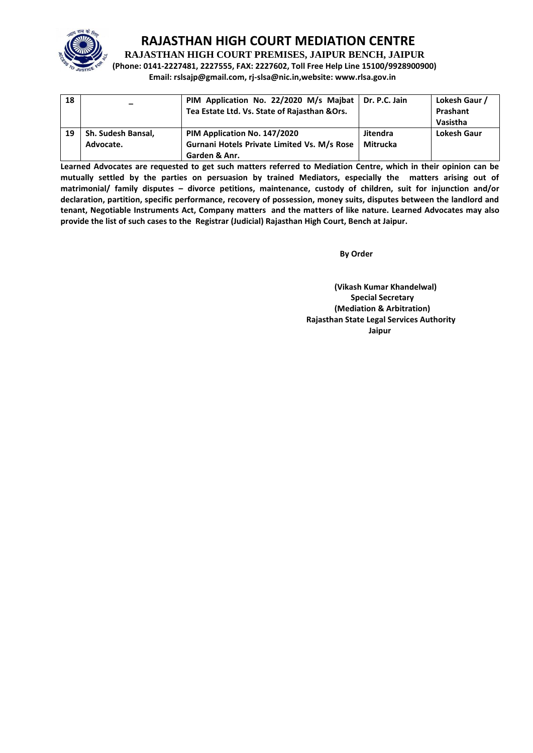

**RAJASTHAN HIGH COURT PREMISES, JAIPUR BENCH, JAIPUR**

**(Phone: 0141-2227481, 2227555, FAX: 2227602, Toll Free Help Line 15100/9928900900) Email: rslsajp@gmail.com, rj-slsa@nic.in,website: www.rlsa.gov.in**

| 18 |                    | PIM Application No. 22/2020 M/s Majbat   Dr. P.C. Jain<br>Tea Estate Ltd. Vs. State of Rajasthan & Ors. |                 | Lokesh Gaur /<br>Prashant<br>Vasistha |
|----|--------------------|---------------------------------------------------------------------------------------------------------|-----------------|---------------------------------------|
| 19 | Sh. Sudesh Bansal, | PIM Application No. 147/2020                                                                            | <b>Jitendra</b> | <b>Lokesh Gaur</b>                    |
|    | Advocate.          | Gurnani Hotels Private Limited Vs. M/s Rose                                                             | Mitrucka        |                                       |
|    |                    | Garden & Anr.                                                                                           |                 |                                       |

**Learned Advocates are requested to get such matters referred to Mediation Centre, which in their opinion can be mutually settled by the parties on persuasion by trained Mediators, especially the matters arising out of matrimonial/ family disputes – divorce petitions, maintenance, custody of children, suit for injunction and/or declaration, partition, specific performance, recovery of possession, money suits, disputes between the landlord and tenant, Negotiable Instruments Act, Company matters and the matters of like nature. Learned Advocates may also provide the list of such cases to the Registrar (Judicial) Rajasthan High Court, Bench at Jaipur.** 

**By Order**  By Order **By Order** 

**(Vikash Kumar Khandelwal) Special Secretary (Mediation & Arbitration) Rajasthan State Legal Services Authority Jaipur**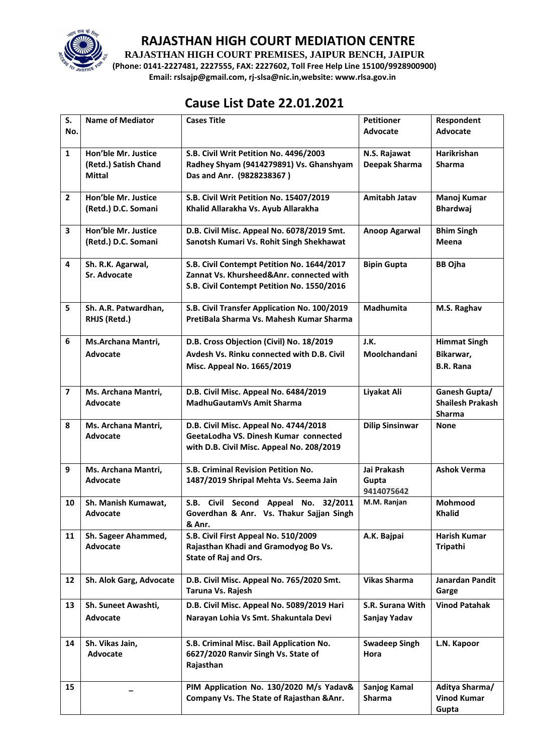

**RAJASTHAN HIGH COURT PREMISES, JAIPUR BENCH, JAIPUR**

**(Phone: 0141-2227481, 2227555, FAX: 2227602, Toll Free Help Line 15100/9928900900) Email: rslsajp@gmail.com, rj-slsa@nic.in,website: www.rlsa.gov.in**

## **Cause List Date 22.01.2021**

| S.             | <b>Name of Mediator</b>                     | <b>Cases Title</b>                                                   | <b>Petitioner</b>      | Respondent                      |
|----------------|---------------------------------------------|----------------------------------------------------------------------|------------------------|---------------------------------|
| No.            |                                             |                                                                      | Advocate               | Advocate                        |
| $\mathbf{1}$   | Hon'ble Mr. Justice<br>(Retd.) Satish Chand | S.B. Civil Writ Petition No. 4496/2003                               | N.S. Rajawat           | Harikrishan<br><b>Sharma</b>    |
|                | Mittal                                      | Radhey Shyam (9414279891) Vs. Ghanshyam<br>Das and Anr. (9828238367) | Deepak Sharma          |                                 |
|                |                                             |                                                                      |                        |                                 |
| $\overline{2}$ | Hon'ble Mr. Justice                         | S.B. Civil Writ Petition No. 15407/2019                              | Amitabh Jatav          | Manoj Kumar                     |
|                | (Retd.) D.C. Somani                         | Khalid Allarakha Vs. Ayub Allarakha                                  |                        | <b>Bhardwaj</b>                 |
| 3              | Hon'ble Mr. Justice                         | D.B. Civil Misc. Appeal No. 6078/2019 Smt.                           | <b>Anoop Agarwal</b>   | <b>Bhim Singh</b>               |
|                | (Retd.) D.C. Somani                         | Sanotsh Kumari Vs. Rohit Singh Shekhawat                             |                        | Meena                           |
| 4              | Sh. R.K. Agarwal,                           | S.B. Civil Contempt Petition No. 1644/2017                           | <b>Bipin Gupta</b>     | <b>BB Ojha</b>                  |
|                | <b>Sr. Advocate</b>                         | Zannat Vs. Khursheed&Anr. connected with                             |                        |                                 |
|                |                                             | S.B. Civil Contempt Petition No. 1550/2016                           |                        |                                 |
| 5              | Sh. A.R. Patwardhan,                        | S.B. Civil Transfer Application No. 100/2019                         | Madhumita              | M.S. Raghav                     |
|                | RHJS (Retd.)                                | PretiBala Sharma Vs. Mahesh Kumar Sharma                             |                        |                                 |
| 6              | Ms.Archana Mantri,                          | D.B. Cross Objection (Civil) No. 18/2019                             | J.K.                   | <b>Himmat Singh</b>             |
|                | <b>Advocate</b>                             | Avdesh Vs. Rinku connected with D.B. Civil                           | Moolchandani           | Bikarwar,                       |
|                |                                             | Misc. Appeal No. 1665/2019                                           |                        | <b>B.R. Rana</b>                |
| $\overline{7}$ | Ms. Archana Mantri,                         | D.B. Civil Misc. Appeal No. 6484/2019                                | Liyakat Ali            | Ganesh Gupta/                   |
|                | <b>Advocate</b>                             | <b>MadhuGautamVs Amit Sharma</b>                                     |                        | <b>Shailesh Prakash</b>         |
| 8              |                                             | D.B. Civil Misc. Appeal No. 4744/2018                                | <b>Dilip Sinsinwar</b> | Sharma                          |
|                | Ms. Archana Mantri,<br><b>Advocate</b>      | GeetaLodha VS. Dinesh Kumar connected                                |                        | <b>None</b>                     |
|                |                                             | with D.B. Civil Misc. Appeal No. 208/2019                            |                        |                                 |
|                |                                             |                                                                      |                        |                                 |
| 9              | Ms. Archana Mantri,                         | S.B. Criminal Revision Petition No.                                  | Jai Prakash            | <b>Ashok Verma</b>              |
|                | <b>Advocate</b>                             | 1487/2019 Shripal Mehta Vs. Seema Jain                               | Gupta<br>9414075642    |                                 |
| 10             | Sh. Manish Kumawat,                         | S.B. Civil Second Appeal No. 32/2011                                 | M.M. Ranjan            | Mohmood                         |
|                | Advocate                                    | Goverdhan & Anr. Vs. Thakur Sajjan Singh                             |                        | <b>Khalid</b>                   |
|                |                                             | & Anr.                                                               |                        |                                 |
| 11             | Sh. Sageer Ahammed,                         | S.B. Civil First Appeal No. 510/2009                                 | A.K. Bajpai            | Harish Kumar                    |
|                | Advocate                                    | Rajasthan Khadi and Gramodyog Bo Vs.<br>State of Raj and Ors.        |                        | Tripathi                        |
|                |                                             |                                                                      |                        |                                 |
| 12             | Sh. Alok Garg, Advocate                     | D.B. Civil Misc. Appeal No. 765/2020 Smt.<br>Taruna Vs. Rajesh       | <b>Vikas Sharma</b>    | <b>Janardan Pandit</b><br>Garge |
| 13             | Sh. Suneet Awashti,                         | D.B. Civil Misc. Appeal No. 5089/2019 Hari                           | S.R. Surana With       | <b>Vinod Patahak</b>            |
|                | <b>Advocate</b>                             | Narayan Lohia Vs Smt. Shakuntala Devi                                | Sanjay Yadav           |                                 |
|                |                                             |                                                                      |                        |                                 |
| 14             | Sh. Vikas Jain,                             | S.B. Criminal Misc. Bail Application No.                             | <b>Swadeep Singh</b>   | L.N. Kapoor                     |
|                | Advocate                                    | 6627/2020 Ranvir Singh Vs. State of                                  | Hora                   |                                 |
|                |                                             | Rajasthan                                                            |                        |                                 |
| 15             |                                             | PIM Application No. 130/2020 M/s Yadav&                              | Sanjog Kamal           | Aditya Sharma/                  |
|                |                                             | Company Vs. The State of Rajasthan & Anr.                            | Sharma                 | <b>Vinod Kumar</b>              |
|                |                                             |                                                                      |                        | Gupta                           |